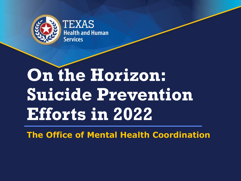

**TEXAS dealth and Human** Services

# **On the Horizon: Suicide Prevention Efforts in 2022**

**The Office of Mental Health Coordination**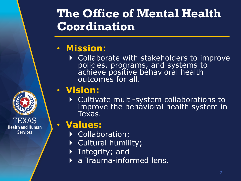### **The Office of Mental Health Coordination**

### • **Mission:**

▶ Collaborate with stakeholders to improve policies, programs, and systems to achieve positive behavioral health outcomes for all.

### • **Vision:**

▶ Cultivate multi-system collaborations to improve the behavioral health system in Texas.

### • **Values:**

**Health and Human Services** 

- ▶ Collaboration;
- ▶ Cultural humility;
- Integrity; and
- a Trauma-informed lens.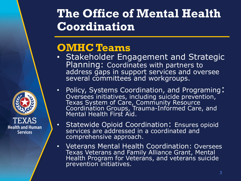### **The Office of Mental Health Coordination**

### **OMHC Teams**

**Health and Human Services** 

- Stakeholder Engagement and Strategic Planning: Coordinates with partners to address gaps in support services and oversee several committees and workgroups.
- Policy, Systems Coordination, and Programing: Oversees initiatives, including suicide prevention, Texas System of Care, Community Resource Coordination Groups, Trauma-Informed Care, and Mental Health First Aid.
- Statewide Opioid Coordination: Ensures opioid services are addressed in a coordinated and comprehensive approach.
- Veterans Mental Health Coordination: Oversees Texas Veterans and Family Alliance Grant, Mental Health Program for Veterans, and veterans suicide prevention initiatives.



3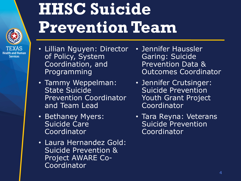

**Services** 

# **HHSC Suicide Prevention Team**

- Lillian Nguyen: Director of Policy, System Coordination, and Programming
- Tammy Weppelman: State Suicide Prevention Coordinator and Team Lead
- Bethaney Myers: Suicide Care **Coordinator**
- Laura Hernandez Gold: Suicide Prevention & Project AWARE Co-Coordinator
- Jennifer Haussler Garing: Suicide Prevention Data & Outcomes Coordinator
- Jennifer Crutsinger: Suicide Prevention Youth Grant Project Coordinator
- Tara Reyna: Veterans Suicide Prevention Coordinator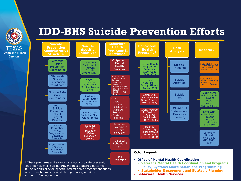

### **IDD-BHS Suicide Prevention Efforts**

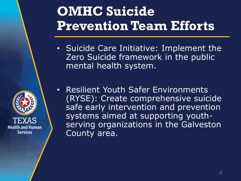# **OMHC Suicide Prevention Team Efforts**

- Suicide Care Initiative: Implement the Zero Suicide framework in the public mental health system.
- Resilient Youth Safer Environments (RYSE): Create comprehensive suicide safe early intervention and prevention systems aimed at supporting youthserving organizations in the Galveston County area.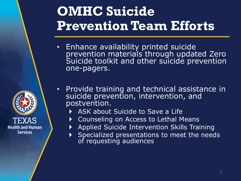# **OMHC Suicide Prevention Team Efforts**

- Enhance availability printed suicide prevention materials through updated Zero Suicide toolkit and other suicide prevention one-pagers.
- Provide training and technical assistance in suicide prevention, intervention, and postvention.
	- ASK about Suicide to Save a Life

**Health and Human Services** 

- Counseling on Access to Lethal Means
- Applied Suicide Intervention Skills Training
- Specialized presentations to meet the needs of requesting audiences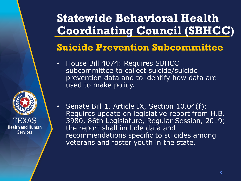## **Statewide Behavioral Health Coordinating Council (SBHCC)**

#### **Suicide Prevention Subcommittee**

- House Bill 4074: Requires SBHCC subcommittee to collect suicide/suicide prevention data and to identify how data are used to make policy.
- **Health and Human Services**
- Senate Bill 1, Article IX, Section 10.04(f): Requires update on legislative report from H.B. 3980, 86th Legislature, Regular Session, 2019; the report shall include data and recommendations specific to suicides among veterans and foster youth in the state.